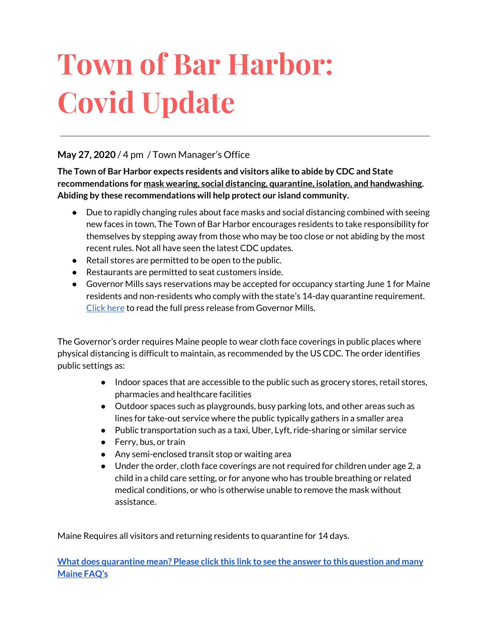# **Town of Bar Harbor: Covid Update**

## **May 27, 2020** / 4 pm / Town Manager's Office

**The Town of Bar Harbor expects residents and visitors alike to abide by CDC and State recommendations for mask wearing, social distancing, quarantine, isolation, and handwashing. Abiding by these recommendations will help protect our island community.**

- Due to rapidly changing rules about face masks and social distancing combined with seeing new faces in town, The Town of Bar Harbor encourages residents to take responsibility for themselves by stepping away from those who may be too close or not abiding by the most recent rules. Not all have seen the latest CDC updates.
- Retail stores are permitted to be open to the public.
- Restaurants are permitted to seat customers inside.
- Governor Mills says reservations may be accepted for occupancy starting June 1 for Maine residents and non-residents who comply with the state's 14-day quarantine requirement. [Click](http://r20.rs6.net/tn.jsp?f=001gB9til_fx4w7nvjzESddOn4bZaqAGzdDyIEy097v0dBYqPQcdjRepSlWubnJiliWykVd8xltfaA07f9BQ6xv5ifOwJVlNMXhjETcC-rke9jDV4OkMTtHnjkRzx1qc1AuS23XwQ2XTinmFkEoRoJ4qqRZHASbTSwRwdj0F88dSeiCghSWPbPvRFWxMyVeQs3dcKQXA0O4Mh0OQTvhtXLneM1Lbxix6PjG3slQwKnkde1Du4XlY5qtouwLDMZDoF_dUQbNhztc6P7heDo42stjIA==&c=GV80uf24ip3gZvQKEozeMbyQn8nDH-DzBYaQB2SENXvHxqb8iwEK5w==&ch=C1320ou85N1eVcHVOSrS_YuBBpfyW3yMIv_-oxqFYkPp04VLTtwgVw==) here to read the full press release from Governor Mills.

The Governor's order requires Maine people to wear cloth face coverings in public places where physical distancing is difficult to maintain, as recommended by the US CDC. The order identifies public settings as:

- Indoor spaces that are accessible to the public such as grocery stores, retail stores, pharmacies and healthcare facilities
- Outdoor spaces such as playgrounds, busy parking lots, and other areas such as lines for take-out service where the public typically gathers in a smaller area
- Public transportation such as a taxi, Uber, Lyft, ride-sharing or similar service
- Ferry, bus, or train
- Any semi-enclosed transit stop or waiting area
- Under the order, cloth face coverings are not required for children under age 2, a child in a child care setting, or for anyone who has trouble breathing or related medical conditions, or who is otherwise unable to remove the mask without assistance.

Maine Requires all visitors and returning residents to quarantine for 14 days.

**What does [quarantine](https://www.maine.gov/dhhs/mecdc/infectious-disease/epi/airborne/coronavirus.shtml#faq) mean? Please click this link to see the answer to this question and many [Maine](https://www.maine.gov/dhhs/mecdc/infectious-disease/epi/airborne/coronavirus.shtml#faq) FAQ's**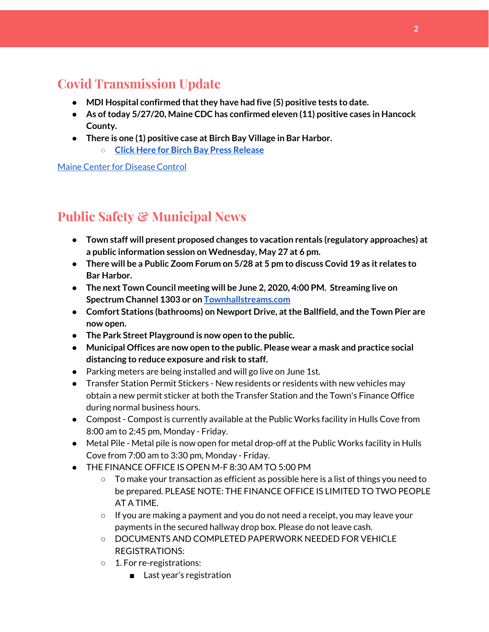# **Covid Transmission Update**

- **● MDI Hospital confirmed thatthey have had five (5) positive tests to date.**
- **● As oftoday 5/27/20, Maine CDC has confirmed eleven (11) positive cases in Hancock County.**
- **● There is one (1) positive case at Birch Bay Village in Bar Harbor.**
	- **○ Click Here for Birch Bay Press [Release](https://www.birchbayvillage.us/category/coronavirus/)**

Maine Center for [Disease](https://www.maine.gov/dhhs/mecdc/infectious-disease/epi/airborne/coronavirus.shtml) Control

# **Public Safety & Municipal News**

- **● Town staff will present proposed changes to vacation rentals (regulatory approaches) at a public information session on Wednesday, May 27 at 6 pm.**
- There will be a Public Zoom Forum on 5/28 at 5 pm to discuss Covid 19 as it relates to **Bar Harbor.**
- **● The next Town Council meeting will be June 2, 2020, 4:00 PM. Streaming live on Spectrum Channel 1303 or on [Townhallstreams.com](http://townhallstreams.com/)**
- **● Comfort Stations (bathrooms) on Newport Drive, atthe Ballfield, and the Town Pier are now open.**
- **● The Park Street Playground is now open to the public.**
- **● Municipal Offices are now open to the public. Please wear a mask and practice social distancing to reduce exposure and risk to staff.**
- Parking meters are being installed and will go live on June 1st.
- Transfer Station Permit Stickers New residents or residents with new vehicles may obtain a new permit sticker at both the Transfer Station and the Town's Finance Office during normal business hours.
- Compost Compost is currently available at the Public Works facility in Hulls Cove from 8:00 am to 2:45 pm, Monday - Friday.
- Metal Pile Metal pile is now open for metal drop-off at the Public Works facility in Hulls Cove from 7:00 am to 3:30 pm, Monday - Friday.
- THE FINANCE OFFICE IS OPEN M-F 8:30 AM TO 5:00 PM
	- $\circ$  To make your transaction as efficient as possible here is a list of things you need to be prepared. PLEASE NOTE: THE FINANCE OFFICE IS LIMITED TO TWO PEOPLE AT A TIME.
	- $\circ$  If you are making a payment and you do not need a receipt, you may leave your payments in the secured hallway drop box. Please do not leave cash.
	- DOCUMENTS AND COMPLETED PAPERWORK NEEDED FOR VEHICLE REGISTRATIONS:
	- 1. For re-registrations:
		- Last year's registration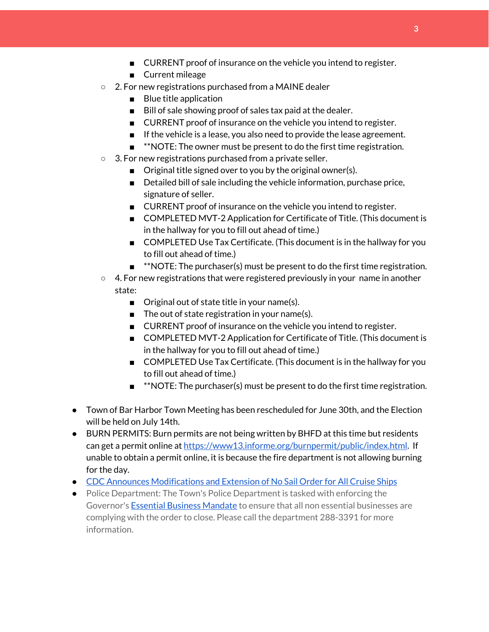- CURRENT proof of insurance on the vehicle you intend to register.
- Current mileage
- 2. For new registrations purchased from a MAINE dealer
	- Blue title application
	- Bill of sale showing proof of sales tax paid at the dealer.
	- CURRENT proof of insurance on the vehicle you intend to register.
	- If the vehicle is a lease, you also need to provide the lease agreement.
	- **\*\*NOTE:** The owner must be present to do the first time registration.
- 3. For new registrations purchased from a private seller.
	- Original title signed over to you by the original owner(s).
	- Detailed bill of sale including the vehicle information, purchase price, signature of seller.
	- CURRENT proof of insurance on the vehicle you intend to register.
	- COMPLETED MVT-2 Application for Certificate of Title. (This document is in the hallway for you to fill out ahead of time.)
	- COMPLETED Use Tax Certificate. (This document is in the hallway for you to fill out ahead of time.)
	- **\*\*NOTE:** The purchaser(s) must be present to do the first time registration.
- $\circ$  4. For new registrations that were registered previously in your name in another state:
	- Original out of state title in your name(s).
	- The out of state registration in your name(s).
	- CURRENT proof of insurance on the vehicle you intend to register.
	- COMPLETED MVT-2 Application for Certificate of Title. (This document is in the hallway for you to fill out ahead of time.)
	- COMPLETED Use Tax Certificate. (This document is in the hallway for you to fill out ahead of time.)
	- **■** \*\*NOTE: The purchaser(s) must be present to do the first time registration.
- Town of Bar Harbor Town Meeting has been rescheduled for June 30th, and the Election will be held on July 14th.
- BURN PERMITS: Burn permits are not being written by BHFD at this time but residents can get a permit online at <https://www13.informe.org/burnpermit/public/index.html>. If unable to obtain a permit online, it is because the fire department is not allowing burning for the day.
- CDC Announces [Modifications](https://www.cdc.gov/media/releases/2020/s0409-modifications-extension-no-sail-ships.html) and Extension of No Sail Order for All Cruise Ships
- Police Department: The Town's Police Department is tasked with enforcing the Governor's Essential Business [Mandate](https://www.maine.gov/governor/mills/sites/maine.gov.governor.mills/files/inline-files/An%20Order%20Regarding%20Essential%20Businesses%20and%20Operations%20.pdf) to ensure that all non essential businesses are complying with the order to close. Please call the department 288-3391 for more information.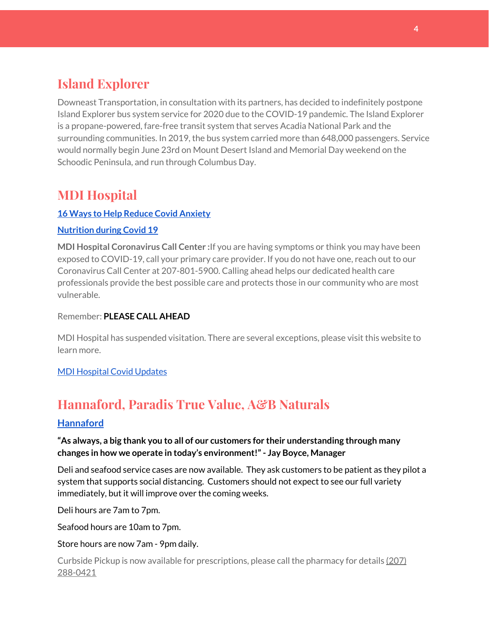# **Island Explorer**

Downeast Transportation, in consultation with its partners, has decided to indefinitely postpone Island Explorer bus system service for 2020 due to the COVID-19 pandemic. The Island Explorer is a propane-powered, fare-free transit system that serves Acadia National Park and the surrounding communities. In 2019, the bus system carried more than 648,000 passengers. Service would normally begin June 23rd on Mount Desert Island and Memorial Day weekend on the Schoodic Peninsula, and run through Columbus Day.

# **MDI Hospital**

## **16 Ways to Help Reduce Covid [Anxiety](https://www.mdihospital.org/news/16-ways-to-help-reduce-covid-19-anxiety/)**

## **[Nutrition](https://www.mdihospital.org/news/16-ways-to-help-reduce-covid-19-anxiety/) during Covid 19**

**MDI Hospital Coronavirus Call Center :**If you are having symptoms or think you may have been exposed to COVID-19, call your primary care provider. If you do not have one, reach out to our Coronavirus Call Center at 207-801-5900. Calling ahead helps our dedicated health care professionals provide the best possible care and protects those in our community who are most vulnerable.

Remember: **PLEASE CALL AHEAD**

MDI Hospital has suspended visitation. There are several exceptions, please visit this website to learn more.

## MDI [Hospital](https://www.mdihospital.org/covid-19/?fbclid=IwAR2Q31t4a6H1pxDfUeqSzFcmp5UbRlSwe93i58zEkHstfexp5EgoHB5cxGU) Covid Updates

# **Hannaford, Paradis True Value, A&B Naturals**

## **[Hannaford](https://www.hannaford.com/locations/bar-harbor-hannaford-21051)**

## **"As always, a big thank you to all of our customers for their understanding through many changes in how we operate in today's environment!"- Jay Boyce, Manager**

Deli and seafood service cases are now available. They ask customers to be patient as they pilot a system that supports social distancing. Customers should not expect to see our full variety immediately, but it will improve over the coming weeks.

Deli hours are 7am to 7pm.

Seafood hours are 10am to 7pm.

Store hours are now 7am - 9pm daily.

Curbside Pickup is now available for prescriptions, please call the pharmacy for details [\(207\)](https://www.google.com/search?client=firefox-b-1-d&q=hannaford+pharmacy+bar+harbor#) [288-0421](https://www.google.com/search?client=firefox-b-1-d&q=hannaford+pharmacy+bar+harbor#)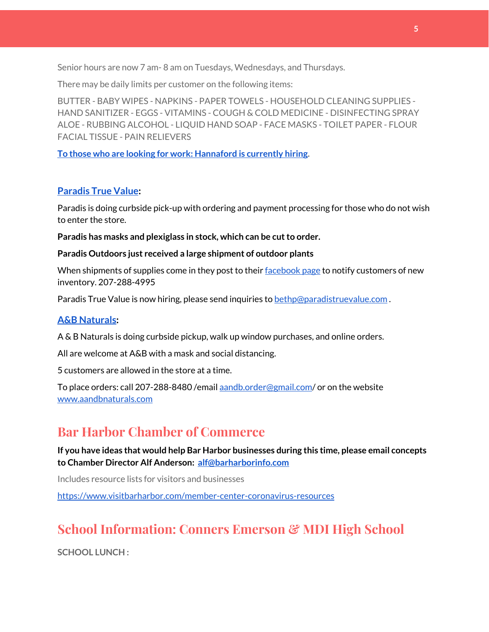Senior hours are now 7 am- 8 am on Tuesdays, Wednesdays, and Thursdays.

There may be daily limits per customer on the following items:

BUTTER - BABY WIPES - NAPKINS - PAPER TOWELS - HOUSEHOLD CLEANING SUPPLIES - HAND SANITIZER - EGGS - VITAMINS - COUGH & COLD MEDICINE - DISINFECTING SPRAY ALOE - RUBBING ALCOHOL - LIQUID HAND SOAP - FACE MASKS - TOILET PAPER - FLOUR FACIAL TISSUE - PAIN RELIEVERS

**To those who are looking for work: [Hannaford](https://www.hannaford.com/about-us/careers) is currently hiring.**

## **[Paradis](https://www.facebook.com/ParadisTrueValue/) True Value:**

Paradis is doing curbside pick-up with ordering and payment processing for those who do not wish to enter the store.

**Paradis has masks and plexiglass in stock, which can be cutto order.**

#### **Paradis Outdoors just received a large shipment of outdoor plants**

When shipments of supplies come in they post to their [facebook](https://www.facebook.com/ParadisTrueValue/) page to notify customers of new inventory. 207-288-4995

Paradis True Value is now hiring, please send inquiries to [bethp@paradistruevalue.com](mailto:bethp@paradistruevalue.com) .

## **A&B [Naturals:](http://aandbnaturals.com/)**

A & B Naturals is doing curbside pickup, walk up window purchases, and online orders.

All are welcome at A&B with a mask and social distancing.

5 customers are allowed in the store at a time.

To place orders: call 207-288-8480 /email [aandb.order@gmail.com](mailto:aandb.order@gmail.com)/ or on the website [www.aandbnaturals.com](http://www.aandbnaturals.com/)

## **Bar Harbor Chamber of Commerce**

**If you have ideas that would help Bar Harbor businesses during this time, please email concepts to Chamber Director Alf Anderson: [alf@barharborinfo.com](mailto:alf@barharborinfo.com)**

Includes resource lists for visitors and businesses

<https://www.visitbarharbor.com/member-center-coronavirus-resources>

## **School Information: Conners Emerson & MDI High School**

**SCHOOL LUNCH :**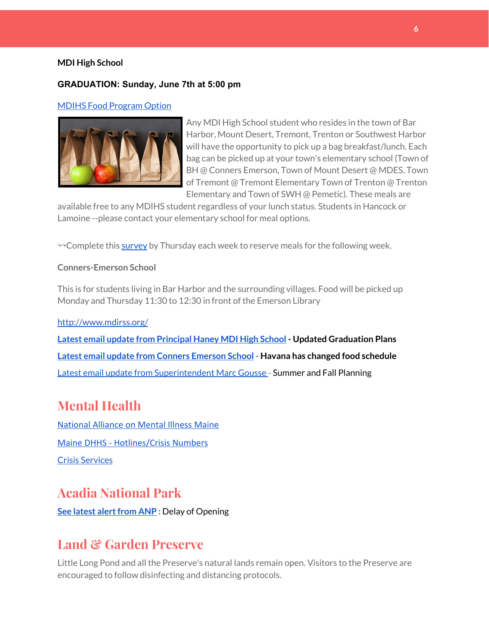#### **MDI High School**

### **GRADUATION: Sunday, June 7th at 5:00 pm**

#### MDIHS Food [Program](http://www.createsurvey.com/c/83380-7yUuuZ/) Option



Any MDI High School student who resides in the town of Bar Harbor, Mount Desert, Tremont, Trenton or Southwest Harbor will have the opportunity to pick up a bag breakfast/lunch. Each bag can be picked up at your town's elementary school (Town of BH @ Conners Emerson, Town of Mount Desert @ MDES, Town of Tremont @ Tremont Elementary Town of Trenton @ Trenton Elementary and Town of SWH @ Pemetic). These meals are

available free to any MDIHS student regardless of your lunch status. Students in Hancock or Lamoine --please contact your elementary school for meal options.

<sup>→→</sup>Complete this [survey](http://www.createsurvey.com/c/83380-7yUuuZ/) by Thursday each week to reserve meals for the following week.

#### **Conners-Emerson School**

This is for students living in Bar Harbor and the surrounding villages. Food will be picked up Monday and Thursday 11:30 to 12:30 in front of the Emerson Library

#### <http://www.mdirss.org/>

**Latest email update from [Principal](https://docs.google.com/document/d/1OKDsYNtOgV0FI9xAcXwQvenOKLV0S2vBg1o5jtu5CrE/edit?usp=sharing) Haney MDI High School - Updated Graduation Plans Latest email update from Conners [Emerson](https://docs.google.com/document/d/1v3pgkG6Q-9S3gisuUIj4etPVDwgBKl4P00JBkvZr-kk/edit?usp=sharing) School - Havana has changed food schedule** Latest email update from [Superintendent](https://docs.google.com/document/d/1fzeCbc8gpTSKmUaDoQH1Avx5PVl-h0reFphXrT1eUNA/edit?usp=sharing) Marc Gousse - Summer and Fall Planning

## **Mental Health**

[National Alliance on Mental Illness Maine](https://www.namimaine.org/) [Maine DHHS - Hotlines/Crisis Numbers](https://www.maine.gov/dhhs/hotlines.shtml) Crisis [Services](https://www.sweetser.org/programs-services/services-for-adults/crisis-services/)

## **Acadia National Park**

**See latest [alertfrom](https://www.nps.gov/acad/learn/news/delaying-start-up-operations.htm) ANP :** Delay of Opening

## **Land & Garden Preserve**

Little Long Pond and all the Preserve's natural lands remain open. Visitors to the Preserve are encouraged to follow disinfecting and distancing protocols.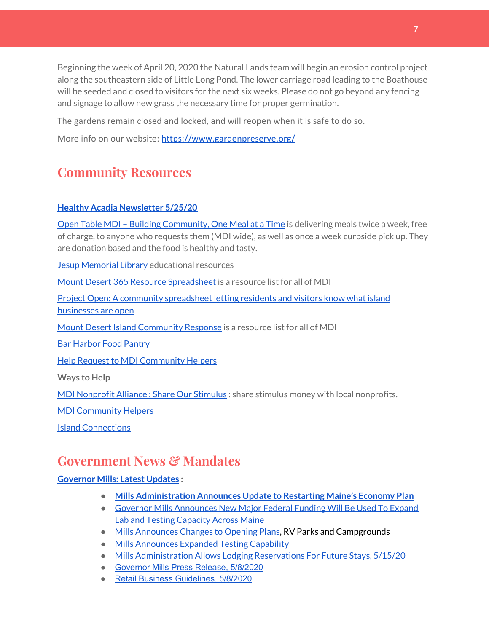Beginning the week of April 20, 2020 the Natural Lands team will begin an erosion control project along the southeastern side of Little Long Pond. The lower carriage road leading to the Boathouse will be seeded and closed to visitors for the next six weeks. Please do not go beyond any fencing and signage to allow new grass the necessary time for proper germination.

The gardens remain closed and locked, and will reopen when it is safe to do so.

More info on our website: <https://www.gardenpreserve.org/>

# **Community Resources**

## **Healthy Acadia [Newsletter](https://mailchi.mp/healthyacadia.org/may25_2020?e=e6ccd2569f) 5/25/20**

Open Table MDI – Building [Community,](https://www.opentablemdi.org/) One Meal at a Time is delivering meals twice a week, free of charge, to anyone who requests them (MDI wide), as well as once a week curbside pick up. They are donation based and the food is healthy and tasty.

Jesup [Memorial](https://jesuplibrary.org/) Library educational resources

Mount Desert 365 Resource [Spreadsheet](https://docs.google.com/spreadsheets/d/1okAx6HSsgXZY9CGH07Dzi6rqe7a6m4dLCPKot2Li7Ek/edit?usp=sharing) is a resource list for all of MDI

Project Open: A community [spreadsheet](https://docs.google.com/spreadsheets/d/1dBicBiBXGzzWEFd9oqL7EBDbFWjDCPl6SSMea_Kt4pc/htmlview#) letting residents and visitors know what island [businesses](https://docs.google.com/spreadsheets/d/1dBicBiBXGzzWEFd9oqL7EBDbFWjDCPl6SSMea_Kt4pc/htmlview#) are open

Mount Desert Island [Community](https://www.mdicr.org/) Response is a resource list for all of MDI

Bar [Harbor](https://www.barharborfoodpantry.org/) Food Pantry

Help Request to MDI [Community](https://docs.google.com/forms/d/e/1FAIpQLSeZfu0tCcthHc9oL7tPomVRdniYiE7nbT_kkK9iCSRgqDhOvQ/viewform) Helpers

**Ways to Help**

MDI [Nonprofit](https://sites.google.com/mdina.org/public/sos-mdi?authuser=0) Alliance : Share Our Stimulus : share stimulus money with local nonprofits.

MDI [Community](https://docs.google.com/forms/d/e/1FAIpQLSe_CJUFdVvwJkmymWRqUeK8bx3m7n4uSOuUPYHqXSAyH2DBoQ/viewform?fbclid=IwAR25hjnWGhnMP0lOWMcBPRBumhtQCJGZO4hlk-T-VjNGZljL1kVX5pWrL6U) Helpers

Island [Connections](http://islconnections.org/contact-us/)

# **Government News & Mandates**

## **[Governor](https://www.maine.gov/governor/mills/) Mills: Latest Updates :**

- **● Mills [Administration](https://www.maine.gov/governor/mills/news/mills-administration-announces-update-restarting-maines-economy-plan-2020-05-27) Announces Update to Restarting Maine's Economy Plan**
- Governor Mills [Announces](https://www.maine.gov/governor/mills/news/governor-mills-announces-new-major-federal-funding-will-be-used-expand-lab-and-testing) New Major Federal Funding Will Be Used To Expand Lab and Testing [Capacity](https://www.maine.gov/governor/mills/news/governor-mills-announces-new-major-federal-funding-will-be-used-expand-lab-and-testing) Across Maine
- Mills [Announces](https://www.maine.gov/governor/mills/) Changes to Opening Plans, RV Parks and Campgrounds
- Mills [Announces](https://www.maine.gov/governor/mills/news/maine-eliminates-testing-prioritization-expands-testing-anyone-suspected-having-covid-19-2020) Expanded Testing Capability
- Mills [Administration](https://www.maine.gov/governor/mills/news/mills-administration-allows-lodging-reservations-future-stays-2020-05-14) Allows Lodging Reservations For Future Stays, 5/15/20
- [Governor Mills Press Release, 5/8/2020](http://r20.rs6.net/tn.jsp?f=001JwXqf4aobCnOzlMPNLsvlvUmVe0kHWp-2z2cFKWPwfAseDVfbnmHtbsmKuIMrcjj0yrYlf--jeDG1YmjtLgRdBEY8lKzJ0jJZ74w2nS_Ebb8-RlK-bys4ucy7lBaYQJ_REuY29E2H4wBazVAb4-_j5u1edjqvFqB5YAxK0eQKfWV9zD9bK7IJ86cNHY60DWJOOEW9HRxuhClpX0d1-RQhNT0fXC1D-HFfo3xcGA5GDVlRnyi0MSVK49UAGOYxglB&c=ESDF_YNNZNPMLNev7uEtMbBg6FmxBbYDODEfTCb1XzlA2Wa7PjOs4Q==&ch=Y05qktBf-gVbIBKAUfUEz8hRJ-Pqgkzx-IdlaoFbeJ99bYDYZBoumw==)
- [Retail Business Guidelines, 5/8/2020](http://r20.rs6.net/tn.jsp?f=001JwXqf4aobCnOzlMPNLsvlvUmVe0kHWp-2z2cFKWPwfAseDVfbnmHtbsmKuIMrcjjLCnS4dWc22zIB-xrC6NwqfJjhmlC_htu6OyRnS0dx-5T27-N7WPnSFLcI-XmffADO3zvzRDFVWupmeIl-TYFUlP19v4WCNOL8OA3oO3EmnL-k45cnp7rq7CwV97igZAgiwedwSDYCtMOrvyvqZWKEEdha8jgFtG4_XRjb5nwAtTSnvZOOnjKqWJd2-SGNn4lzTGXIZWqk4u13Kocw7MOfqfD9TUhYMeMgwHg6pn_Sb7mSdRPxthMIugTbWMTarCj&c=ESDF_YNNZNPMLNev7uEtMbBg6FmxBbYDODEfTCb1XzlA2Wa7PjOs4Q==&ch=Y05qktBf-gVbIBKAUfUEz8hRJ-Pqgkzx-IdlaoFbeJ99bYDYZBoumw==)